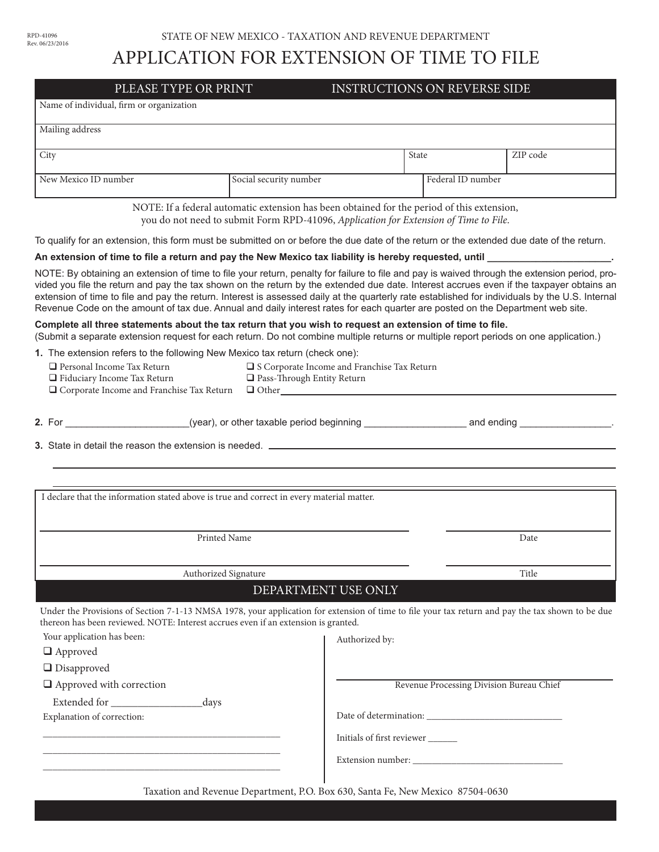## APPLICATION FOR EXTENSION OF TIME TO FILE

|                                                                                                                                                                                                                                                                                                                                                                                                                                                                                                                                                                                                                                                                                             | PLEASE TYPE OR PRINT                                                                                                                                                               | <b>INSTRUCTIONS ON REVERSE SIDE</b> |                                          |
|---------------------------------------------------------------------------------------------------------------------------------------------------------------------------------------------------------------------------------------------------------------------------------------------------------------------------------------------------------------------------------------------------------------------------------------------------------------------------------------------------------------------------------------------------------------------------------------------------------------------------------------------------------------------------------------------|------------------------------------------------------------------------------------------------------------------------------------------------------------------------------------|-------------------------------------|------------------------------------------|
| Name of individual, firm or organization                                                                                                                                                                                                                                                                                                                                                                                                                                                                                                                                                                                                                                                    |                                                                                                                                                                                    |                                     |                                          |
| Mailing address                                                                                                                                                                                                                                                                                                                                                                                                                                                                                                                                                                                                                                                                             |                                                                                                                                                                                    |                                     |                                          |
| City                                                                                                                                                                                                                                                                                                                                                                                                                                                                                                                                                                                                                                                                                        |                                                                                                                                                                                    | <b>State</b>                        | ZIP code                                 |
|                                                                                                                                                                                                                                                                                                                                                                                                                                                                                                                                                                                                                                                                                             |                                                                                                                                                                                    |                                     |                                          |
| New Mexico ID number                                                                                                                                                                                                                                                                                                                                                                                                                                                                                                                                                                                                                                                                        | Social security number                                                                                                                                                             |                                     | Federal ID number                        |
|                                                                                                                                                                                                                                                                                                                                                                                                                                                                                                                                                                                                                                                                                             | NOTE: If a federal automatic extension has been obtained for the period of this extension,<br>you do not need to submit Form RPD-41096, Application for Extension of Time to File. |                                     |                                          |
| To qualify for an extension, this form must be submitted on or before the due date of the return or the extended due date of the return.                                                                                                                                                                                                                                                                                                                                                                                                                                                                                                                                                    |                                                                                                                                                                                    |                                     |                                          |
| An extension of time to file a return and pay the New Mexico tax liability is hereby requested, until ________                                                                                                                                                                                                                                                                                                                                                                                                                                                                                                                                                                              |                                                                                                                                                                                    |                                     |                                          |
| NOTE: By obtaining an extension of time to file your return, penalty for failure to file and pay is waived through the extension period, pro-<br>vided you file the return and pay the tax shown on the return by the extended due date. Interest accrues even if the taxpayer obtains an<br>extension of time to file and pay the return. Interest is assessed daily at the quarterly rate established for individuals by the U.S. Internal<br>Revenue Code on the amount of tax due. Annual and daily interest rates for each quarter are posted on the Department web site.<br>Complete all three statements about the tax return that you wish to request an extension of time to file. |                                                                                                                                                                                    |                                     |                                          |
| (Submit a separate extension request for each return. Do not combine multiple returns or multiple report periods on one application.)                                                                                                                                                                                                                                                                                                                                                                                                                                                                                                                                                       |                                                                                                                                                                                    |                                     |                                          |
| 1. The extension refers to the following New Mexico tax return (check one):<br>$\Box$ Personal Income Tax Return<br>$\Box$ Fiduciary Income Tax Return<br>□ Corporate Income and Franchise Tax Return                                                                                                                                                                                                                                                                                                                                                                                                                                                                                       | □ S Corporate Income and Franchise Tax Return<br>Pass-Through Entity Return<br>$\Box$ Other $\Box$                                                                                 |                                     |                                          |
| 2. For example and ending example the same (year), or other taxable period beginning example and ending example and ending                                                                                                                                                                                                                                                                                                                                                                                                                                                                                                                                                                  |                                                                                                                                                                                    |                                     |                                          |
| I declare that the information stated above is true and correct in every material matter.                                                                                                                                                                                                                                                                                                                                                                                                                                                                                                                                                                                                   |                                                                                                                                                                                    |                                     |                                          |
| Printed Name                                                                                                                                                                                                                                                                                                                                                                                                                                                                                                                                                                                                                                                                                |                                                                                                                                                                                    |                                     |                                          |
|                                                                                                                                                                                                                                                                                                                                                                                                                                                                                                                                                                                                                                                                                             |                                                                                                                                                                                    |                                     |                                          |
|                                                                                                                                                                                                                                                                                                                                                                                                                                                                                                                                                                                                                                                                                             |                                                                                                                                                                                    |                                     | Date                                     |
|                                                                                                                                                                                                                                                                                                                                                                                                                                                                                                                                                                                                                                                                                             |                                                                                                                                                                                    |                                     | Title                                    |
|                                                                                                                                                                                                                                                                                                                                                                                                                                                                                                                                                                                                                                                                                             | Authorized Signature<br>DEPARTMENT USE ONLY                                                                                                                                        |                                     |                                          |
| Under the Provisions of Section 7-1-13 NMSA 1978, your application for extension of time to file your tax return and pay the tax shown to be due<br>thereon has been reviewed. NOTE: Interest accrues even if an extension is granted.<br>Your application has been:                                                                                                                                                                                                                                                                                                                                                                                                                        |                                                                                                                                                                                    | Authorized by:                      |                                          |
| $\Box$ Approved                                                                                                                                                                                                                                                                                                                                                                                                                                                                                                                                                                                                                                                                             |                                                                                                                                                                                    |                                     |                                          |
| $\Box$ Disapproved                                                                                                                                                                                                                                                                                                                                                                                                                                                                                                                                                                                                                                                                          |                                                                                                                                                                                    |                                     |                                          |
| $\hfill\Box$<br>Approved with correction                                                                                                                                                                                                                                                                                                                                                                                                                                                                                                                                                                                                                                                    |                                                                                                                                                                                    |                                     | Revenue Processing Division Bureau Chief |
| Extended for<br>_days<br>Explanation of correction:                                                                                                                                                                                                                                                                                                                                                                                                                                                                                                                                                                                                                                         |                                                                                                                                                                                    |                                     |                                          |

Taxation and Revenue Department, P.O. Box 630, Santa Fe, New Mexico 87504-0630

Extension number:

\_\_\_\_\_\_\_\_\_\_\_\_\_\_\_\_\_\_\_\_\_\_\_\_\_\_\_\_\_\_\_\_\_\_\_\_\_\_\_\_\_\_\_\_\_\_\_\_\_